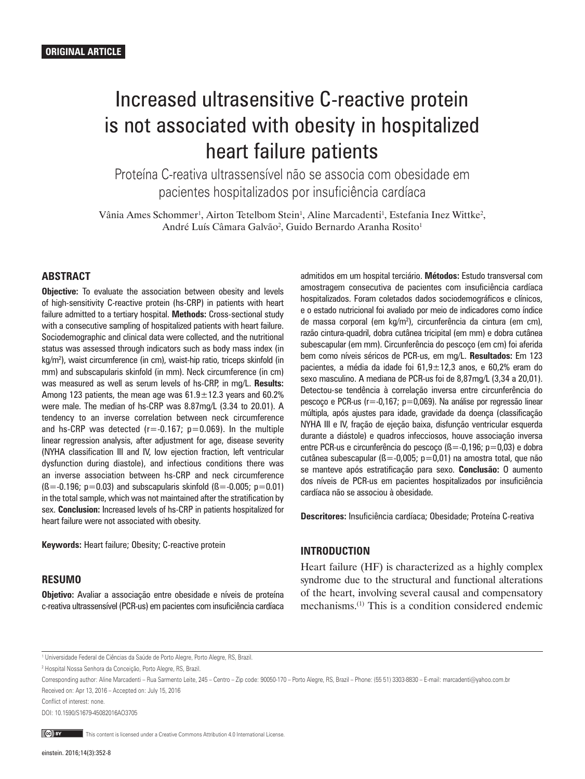# Increased ultrasensitive C-reactive protein is not associated with obesity in hospitalized heart failure patients

Proteína C-reativa ultrassensível não se associa com obesidade em pacientes hospitalizados por insuficiência cardíaca

Vânia Ames Schommer<sup>1</sup>, Airton Tetelbom Stein<sup>1</sup>, Aline Marcadenti<sup>1</sup>, Estefania Inez Wittke<sup>2</sup>, André Luís Câmara Galvão<sup>2</sup>, Guido Bernardo Aranha Rosito<sup>1</sup>

## **ABSTRACT**

**Objective:** To evaluate the association between obesity and levels of high-sensitivity C-reactive protein (hs-CRP) in patients with heart failure admitted to a tertiary hospital. **Methods:** Cross-sectional study with a consecutive sampling of hospitalized patients with heart failure. Sociodemographic and clinical data were collected, and the nutritional status was assessed through indicators such as body mass index (in kg/m2 ), waist circumference (in cm), waist-hip ratio, triceps skinfold (in mm) and subscapularis skinfold (in mm). Neck circumference (in cm) was measured as well as serum levels of hs-CRP, in mg/L. **Results:** Among 123 patients, the mean age was  $61.9 \pm 12.3$  years and  $60.2\%$ were male. The median of hs-CRP was 8.87mg/L (3.34 to 20.01). A tendency to an inverse correlation between neck circumference and hs-CRP was detected ( $r = -0.167$ ;  $p = 0.069$ ). In the multiple linear regression analysis, after adjustment for age, disease severity (NYHA classification III and IV, low ejection fraction, left ventricular dysfunction during diastole), and infectious conditions there was an inverse association between hs-CRP and neck circumference  $(S = -0.196; p = 0.03)$  and subscapularis skinfold  $(S = -0.005; p = 0.01)$ in the total sample, which was not maintained after the stratification by sex. **Conclusion:** Increased levels of hs-CRP in patients hospitalized for heart failure were not associated with obesity.

**Keywords:** Heart failure; Obesity; C-reactive protein

## **RESUMO**

**Objetivo:** Avaliar a associação entre obesidade e níveis de proteína c-reativa ultrassensível (PCR-us) em pacientes com insuficiência cardíaca admitidos em um hospital terciário. **Métodos:** Estudo transversal com amostragem consecutiva de pacientes com insuficiência cardíaca hospitalizados. Foram coletados dados sociodemográficos e clínicos, e o estado nutricional foi avaliado por meio de indicadores como índice de massa corporal (em kg/m2 ), circunferência da cintura (em cm), razão cintura-quadril, dobra cutânea tricipital (em mm) e dobra cutânea subescapular (em mm). Circunferência do pescoço (em cm) foi aferida bem como níveis séricos de PCR-us, em mg/L. **Resultados:** Em 123 pacientes, a média da idade foi 61,9±12,3 anos, e 60,2% eram do sexo masculino. A mediana de PCR-us foi de 8,87mg/L (3,34 a 20,01). Detectou-se tendência à correlação inversa entre circunferência do pescoço e PCR-us (r=-0,167; p=0,069). Na análise por regressão linear múltipla, após ajustes para idade, gravidade da doença (classificação NYHA III e IV, fração de ejeção baixa, disfunção ventricular esquerda durante a diástole) e quadros infecciosos, houve associação inversa entre PCR-us e circunferência do pescoço ( $B = -0,196$ ; p=0,03) e dobra cutânea subescapular ( $\beta = -0.005$ ; p=0.01) na amostra total, que não se manteve após estratificação para sexo. **Conclusão:** O aumento dos níveis de PCR-us em pacientes hospitalizados por insuficiência cardíaca não se associou à obesidade.

**Descritores:** Insuficiência cardíaca; Obesidade; Proteína C-reativa

#### **INTRODUCTION**

Heart failure (HF) is characterized as a highly complex syndrome due to the structural and functional alterations of the heart, involving several causal and compensatory mechanisms.(1) This is a condition considered endemic

Conflict of interest: none.

DOI: 10.1590/S1679-45082016AO3705

This content is licensed under a Creative Commons Attribution 4.0 International License.

<sup>1</sup> Universidade Federal de Ciências da Saúde de Porto Alegre, Porto Alegre, RS, Brazil.

<sup>2</sup> Hospital Nossa Senhora da Conceição, Porto Alegre, RS, Brazil.

Corresponding author: Aline Marcadenti – Rua Sarmento Leite, 245 – Centro – Zip code: 90050-170 – Porto Alegre, RS, Brazil – Phone: (55 51) 3303-8830 – E-mail: marcadenti@yahoo.com.br Received on: Apr 13, 2016 – Accepted on: July 15, 2016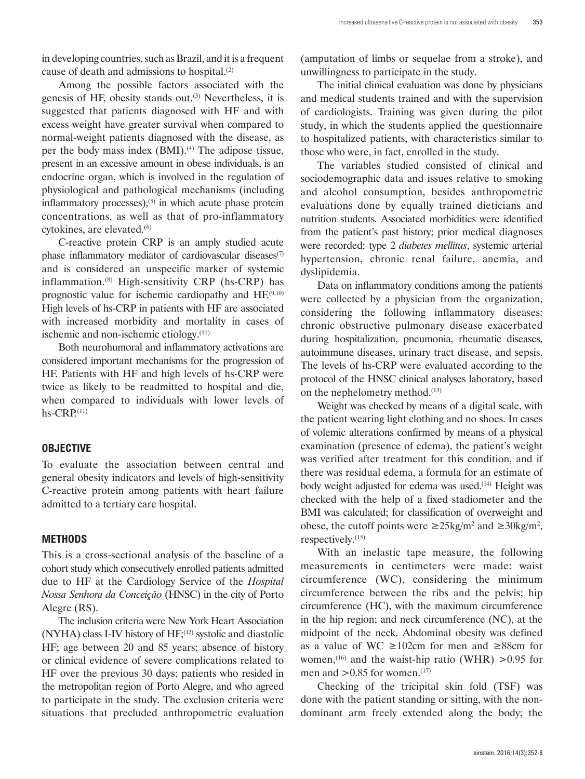in developing countries, such as Brazil, and it is a frequent cause of death and admissions to hospital.(2)

Among the possible factors associated with the genesis of HF, obesity stands out. $(3)$  Nevertheless, it is suggested that patients diagnosed with HF and with excess weight have greater survival when compared to normal-weight patients diagnosed with the disease, as per the body mass index  $(BMI)$ .<sup>(4)</sup> The adipose tissue, present in an excessive amount in obese individuals, is an endocrine organ, which is involved in the regulation of physiological and pathological mechanisms (including inflammatory processes), $(5)$  in which acute phase protein concentrations, as well as that of pro-inflammatory cytokines, are elevated.<sup>(6)</sup>

C-reactive protein CRP is an amply studied acute phase inflammatory mediator of cardiovascular diseases $(7)$ and is considered an unspecific marker of systemic inflammation.(8) High-sensitivity CRP (hs-CRP) has prognostic value for ischemic cardiopathy and HF.(9,10) High levels of hs-CRP in patients with HF are associated with increased morbidity and mortality in cases of ischemic and non-ischemic etiology.(11)

Both neurohumoral and inflammatory activations are considered important mechanisms for the progression of HF. Patients with HF and high levels of hs-CRP were twice as likely to be readmitted to hospital and die, when compared to individuals with lower levels of  $hs-CRP<sub>(11)</sub>$ 

#### **OBJECTIVE**

To evaluate the association between central and general obesity indicators and levels of high-sensitivity C-reactive protein among patients with heart failure admitted to a tertiary care hospital.

#### **METHODS**

This is a cross-sectional analysis of the baseline of a cohort study which consecutively enrolled patients admitted due to HF at the Cardiology Service of the *Hospital Nossa Senhora da Conceição* (HNSC) in the city of Porto Alegre (RS).

The inclusion criteria were New York Heart Association  $(NYHA)$  class I-IV history of  $HF<sub>1</sub><sup>(12)</sup>$  systolic and diastolic HF; age between 20 and 85 years; absence of history or clinical evidence of severe complications related to HF over the previous 30 days; patients who resided in the metropolitan region of Porto Alegre, and who agreed to participate in the study. The exclusion criteria were situations that precluded anthropometric evaluation (amputation of limbs or sequelae from a stroke), and unwillingness to participate in the study.

The initial clinical evaluation was done by physicians and medical students trained and with the supervision of cardiologists. Training was given during the pilot study, in which the students applied the questionnaire to hospitalized patients, with characteristics similar to those who were, in fact, enrolled in the study.

The variables studied consisted of clinical and sociodemographic data and issues relative to smoking and alcohol consumption, besides anthropometric evaluations done by equally trained dieticians and nutrition students. Associated morbidities were identified from the patient's past history; prior medical diagnoses were recorded: type 2 *diabetes mellitus*, systemic arterial hypertension, chronic renal failure, anemia, and dyslipidemia.

Data on inflammatory conditions among the patients were collected by a physician from the organization, considering the following inflammatory diseases: chronic obstructive pulmonary disease exacerbated during hospitalization, pneumonia, rheumatic diseases, autoimmune diseases, urinary tract disease, and sepsis. The levels of hs-CRP were evaluated according to the protocol of the HNSC clinical analyses laboratory, based on the nephelometry method.(13)

Weight was checked by means of a digital scale, with the patient wearing light clothing and no shoes. In cases of volemic alterations confirmed by means of a physical examination (presence of edema), the patient's weight was verified after treatment for this condition, and if there was residual edema, a formula for an estimate of body weight adjusted for edema was used.<sup>(14)</sup> Height was checked with the help of a fixed stadiometer and the BMI was calculated; for classification of overweight and obese, the cutoff points were  $\geq$ 25kg/m<sup>2</sup> and  $\geq$ 30kg/m<sup>2</sup>, respectively.(15)

With an inelastic tape measure, the following measurements in centimeters were made: waist circumference (WC), considering the minimum circumference between the ribs and the pelvis; hip circumference (HC), with the maximum circumference in the hip region; and neck circumference (NC), at the midpoint of the neck. Abdominal obesity was defined as a value of WC ≥102cm for men and ≥88cm for women,<sup>(16)</sup> and the waist-hip ratio (WHR)  $>0.95$  for men and  $>0.85$  for women.<sup>(17)</sup>

Checking of the tricipital skin fold (TSF) was done with the patient standing or sitting, with the nondominant arm freely extended along the body; the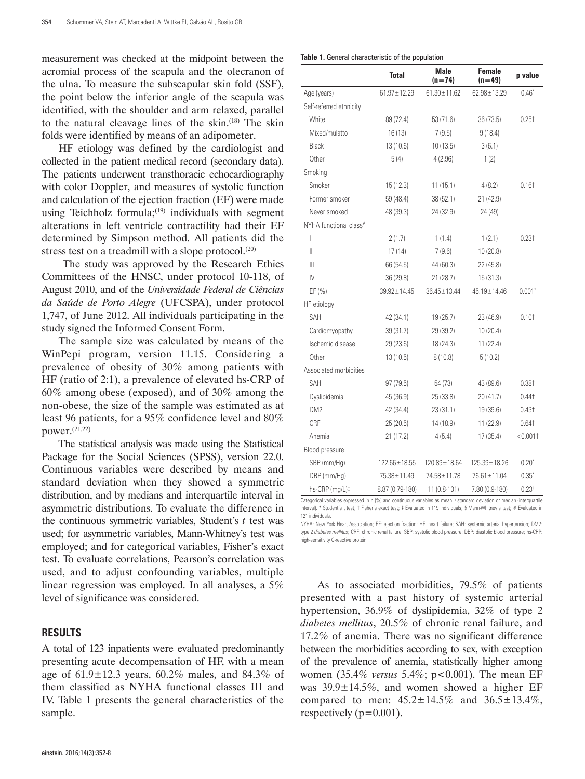measurement was checked at the midpoint between the acromial process of the scapula and the olecranon of the ulna. To measure the subscapular skin fold (SSF), the point below the inferior angle of the scapula was identified, with the shoulder and arm relaxed, parallel to the natural cleavage lines of the skin.(18) The skin folds were identified by means of an adipometer.

HF etiology was defined by the cardiologist and collected in the patient medical record (secondary data). The patients underwent transthoracic echocardiography with color Doppler, and measures of systolic function and calculation of the ejection fraction (EF) were made using Teichholz formula; $(19)$  individuals with segment alterations in left ventricle contractility had their EF determined by Simpson method. All patients did the stress test on a treadmill with a slope protocol. $(20)$ 

 The study was approved by the Research Ethics Committees of the HNSC, under protocol 10-118, of August 2010, and of the *Universidade Federal de Ciências da Saúde de Porto Alegre* (UFCSPA), under protocol 1,747, of June 2012. All individuals participating in the study signed the Informed Consent Form.

The sample size was calculated by means of the WinPepi program, version 11.15. Considering a prevalence of obesity of 30% among patients with HF (ratio of 2:1), a prevalence of elevated hs-CRP of 60% among obese (exposed), and of 30% among the non-obese, the size of the sample was estimated as at least 96 patients, for a 95% confidence level and 80% power.(21,22)

The statistical analysis was made using the Statistical Package for the Social Sciences (SPSS), version 22.0. Continuous variables were described by means and standard deviation when they showed a symmetric distribution, and by medians and interquartile interval in asymmetric distributions. To evaluate the difference in the continuous symmetric variables, Student's *t* test was used; for asymmetric variables, Mann-Whitney's test was employed; and for categorical variables, Fisher's exact test. To evaluate correlations, Pearson's correlation was used, and to adjust confounding variables, multiple linear regression was employed. In all analyses, a 5% level of significance was considered.

#### **RESULTS**

A total of 123 inpatients were evaluated predominantly presenting acute decompensation of HF, with a mean age of  $61.9 \pm 12.3$  years,  $60.2\%$  males, and  $84.3\%$  of them classified as NYHA functional classes III and IV. Table 1 presents the general characteristics of the sample.

|  |  | Table 1. General characteristic of the population |
|--|--|---------------------------------------------------|
|--|--|---------------------------------------------------|

|                         | <b>Total</b>       | <b>Male</b><br>$(n=74)$ | <b>Female</b><br>(n = 49) | p value           |
|-------------------------|--------------------|-------------------------|---------------------------|-------------------|
| Age (years)             | $61.97 \pm 12.29$  | $61.30 \pm 11.62$       | $62.98 \pm 13.29$         | 0.46"             |
| Self-referred ethnicity |                    |                         |                           |                   |
| White                   | 89 (72.4)          | 53 (71.6)               | 36(73.5)                  | 0.25 <sub>†</sub> |
| Mixed/mulatto           | 16(13)             | 7(9.5)                  | 9(18.4)                   |                   |
| Black                   | 13 (10.6)          | 10(13.5)                | 3(6.1)                    |                   |
| Other                   | 5(4)               | 4(2.96)                 | 1(2)                      |                   |
| Smoking                 |                    |                         |                           |                   |
| Smoker                  | 15(12.3)           | 11(15.1)                | 4(8.2)                    | 0.16 <sub>†</sub> |
| Former smoker           | 59 (48.4)          | 38(52.1)                | 21 (42.9)                 |                   |
| Never smoked            | 48 (39.3)          | 24 (32.9)               | 24 (49)                   |                   |
| NYHA functional class#  |                    |                         |                           |                   |
| I                       | 2(1.7)             | 1(1.4)                  | 1(2.1)                    | 0.23 <sub>†</sub> |
| Ш                       | 17(14)             | 7(9.6)                  | 10(20.8)                  |                   |
| $\mathbb{H}$            | 66 (54.5)          | 44 (60.3)               | 22(45.8)                  |                   |
| IV                      | 36(29.8)           | 21 (28.7)               | 15(31.3)                  |                   |
| EF (%)                  | $39.92 \pm 14.45$  | $36.45 \pm 13.44$       | 45.19±14.46               | $0.001^*$         |
| HF etiology             |                    |                         |                           |                   |
| SAH                     | 42 (34.1)          | 19 (25.7)               | 23 (46.9)                 | $0.10+$           |
| Cardiomyopathy          | 39 (31.7)          | 29 (39.2)               | 10(20.4)                  |                   |
| Ischemic disease        | 29 (23.6)          | 18 (24.3)               | 11(22.4)                  |                   |
| Other                   | 13(10.5)           | 8(10.8)                 | 5(10.2)                   |                   |
| Associated morbidities  |                    |                         |                           |                   |
| SAH                     | 97(79.5)           | 54 (73)                 | 43 (89.6)                 | $0.38+$           |
| Dyslipidemia            | 45 (36.9)          | 25 (33.8)               | 20 (41.7)                 | 0.44†             |
| DM <sub>2</sub>         | 42 (34.4)          | 23(31.1)                | 19 (39.6)                 | 0.43 <sub>†</sub> |
| CRF                     | 25(20.5)           | 14 (18.9)               | 11(22.9)                  | 0.64†             |
| Anemia                  | 21(17.2)           | 4(5.4)                  | 17 (35.4)                 | < 0.0011          |
| Blood pressure          |                    |                         |                           |                   |
| SBP (mm/Hg)             | $122.66 \pm 18.55$ | $120.89 \pm 18.64$      | $125.39 \pm 18.26$        | 0.20"             |
| DBP (mm/Hg)             | 75.38 ± 11.49      | 74.58±11.78             | 76.61±11.04               | $0.35^{\circ}$    |
| hs-CRP (mg/L)‡          | 8.87 (0.79-180)    | 11 (0.8-101)            | 7.80 (0.9-180)            | 0.23 <sup>s</sup> |

Categorical variables expressed in n (%) and continuous variables as mean ±standard deviation or median (interq interval). \* Student's t test; † Fisher's exact test; ‡ Evaluated in 119 individuals; § Mann-Whitney's test; # Evaluated in 121 individuals.

NYHA: New York Heart Association; EF: ejection fraction; HF: heart failure; SAH: systemic arterial hypertension; DM2: type 2 *diabetes mellitus*; CRF: chronic renal failure; SBP: systolic blood pressure; DBP: diastolic blood pressure; hs-CRP: high-sensitivity C-reactive protein.

As to associated morbidities, 79.5% of patients presented with a past history of systemic arterial hypertension, 36.9% of dyslipidemia, 32% of type 2 *diabetes mellitus*, 20.5% of chronic renal failure, and 17.2% of anemia. There was no significant difference between the morbidities according to sex, with exception of the prevalence of anemia, statistically higher among women (35.4% *versus* 5.4%; p<0.001). The mean EF was  $39.9 \pm 14.5\%$ , and women showed a higher EF compared to men: 45.2±14.5% and 36.5±13.4%, respectively ( $p=0.001$ ).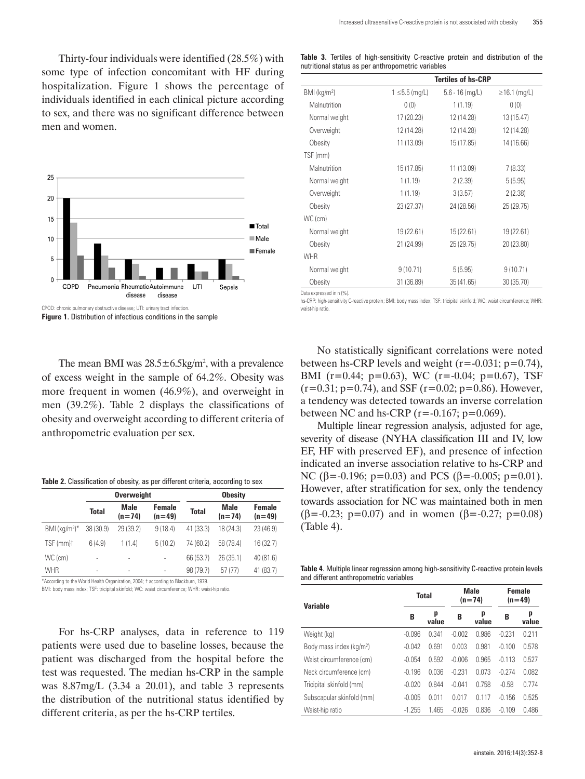Thirty-four individuals were identified (28.5%) with some type of infection concomitant with HF during hospitalization. Figure 1 shows the percentage of individuals identified in each clinical picture according to sex, and there was no significant difference between men and women.



**Figure 1**. Distribution of infectious conditions in the sample

The mean BMI was  $28.5 \pm 6.5 \text{kg/m}^2$ , with a prevalence of excess weight in the sample of 64.2%. Obesity was more frequent in women (46.9%), and overweight in men (39.2%). Table 2 displays the classifications of obesity and overweight according to different criteria of anthropometric evaluation per sex.

| Table 2. Classification of obesity, as per different criteria, according to sex |  |  |  |
|---------------------------------------------------------------------------------|--|--|--|
|---------------------------------------------------------------------------------|--|--|--|

|                                                                                    |              | <b>Overweight</b>       |                    | <b>Obesity</b> |                  |                    |  |  |
|------------------------------------------------------------------------------------|--------------|-------------------------|--------------------|----------------|------------------|--------------------|--|--|
|                                                                                    | <b>Total</b> | <b>Male</b><br>$(n=74)$ | Female<br>$(n=49)$ | <b>Total</b>   | Male<br>$(n=74)$ | Female<br>$(n=49)$ |  |  |
| BMI ( $kq/m^2$ )*                                                                  | 38 (30.9)    | 29 (39.2)               | 9(18.4)            | 41 (33.3)      | 18 (24.3)        | 23 (46.9)          |  |  |
| TSF (mm)t                                                                          | 6(4.9)       | 1(1.4)                  | 5(10.2)            | 74 (60.2)      | 58 (78.4)        | 16(32.7)           |  |  |
| WC (cm)                                                                            | ٠            |                         |                    | 66 (53.7)      | 26 (35.1)        | 40 (81.6)          |  |  |
| <b>WHR</b>                                                                         | ٠            | ٠                       |                    | 98 (79.7)      | 57 (77)          | 41 (83.7)          |  |  |
| *According to the World Health Organization, 2004; † according to Blackburn, 1979. |              |                         |                    |                |                  |                    |  |  |

BMI: body mass index; TSF: tricipital skinfold; WC: waist circumference; WHR: waist-hip ratio.

For hs-CRP analyses, data in reference to 119 patients were used due to baseline losses, because the patient was discharged from the hospital before the test was requested. The median hs-CRP in the sample was 8.87mg/L (3.34 a 20.01), and table 3 represents the distribution of the nutritional status identified by different criteria, as per the hs-CRP tertiles.

|  |  | Table 3. Tertiles of high-sensitivity C-reactive protein and distribution of the |  |  |  |
|--|--|----------------------------------------------------------------------------------|--|--|--|
|  |  | nutritional status as per anthropometric variables                               |  |  |  |

|                            | <b>Tertiles of hs-CRP</b> |                   |                    |  |  |  |  |
|----------------------------|---------------------------|-------------------|--------------------|--|--|--|--|
| $BMI$ (kg/m <sup>2</sup> ) | $1 \le 5.5$ (mg/L)        | $5.6 - 16$ (mg/L) | $\geq$ 16.1 (mg/L) |  |  |  |  |
| Malnutrition               | 0(0)                      | 1(1.19)           | 0(0)               |  |  |  |  |
| Normal weight              | 17 (20.23)                | 12 (14.28)        | 13 (15.47)         |  |  |  |  |
| Overweight                 | 12 (14.28)                | 12 (14.28)        | 12 (14.28)         |  |  |  |  |
| Obesity                    | 11 (13.09)                | 15 (17.85)        | 14 (16.66)         |  |  |  |  |
| TSF (mm)                   |                           |                   |                    |  |  |  |  |
| Malnutrition               | 15 (17.85)                | 11 (13.09)        | 7(8.33)            |  |  |  |  |
| Normal weight              | 1(1.19)                   | 2(2.39)           | 5(5.95)            |  |  |  |  |
| Overweight                 | 1(1.19)                   | 3(3.57)           | 2(2.38)            |  |  |  |  |
| Obesity                    | 23 (27.37)                | 24 (28.56)        | 25 (29.75)         |  |  |  |  |
| WC (cm)                    |                           |                   |                    |  |  |  |  |
| Normal weight              | 19 (22.61)                | 15(22.61)         | 19 (22.61)         |  |  |  |  |
| Obesity                    | 21 (24.99)                | 25 (29.75)        | 20 (23.80)         |  |  |  |  |
| <b>WHR</b>                 |                           |                   |                    |  |  |  |  |
| Normal weight              | 9(10.71)                  | 5(5.95)           | 9(10.71)           |  |  |  |  |
| Obesity                    | 31 (36.89)                | 35 (41.65)        | 30 (35.70)         |  |  |  |  |

Data expressed in n (%).

hs-CRP: high-sensitivity C-reactive protein; BMI: body mass index; TSF: tricipital skinfold; WC: waist circumference; WHR: waist-hip ratio.

No statistically significant correlations were noted between hs-CRP levels and weight  $(r=-0.031; p=0.74)$ , BMI (r=0.44; p=0.63), WC (r=-0.04; p=0.67), TSF  $(r=0.31; p=0.74)$ , and SSF  $(r=0.02; p=0.86)$ . However, a tendency was detected towards an inverse correlation between NC and hs-CRP ( $r = -0.167$ ;  $p = 0.069$ ).

Multiple linear regression analysis, adjusted for age, severity of disease (NYHA classification III and IV, low EF, HF with preserved EF), and presence of infection indicated an inverse association relative to hs-CRP and NC ( $\beta$ =-0.196; p=0.03) and PCS ( $\beta$ =-0.005; p=0.01). However, after stratification for sex, only the tendency towards association for NC was maintained both in men ( $\beta$ =-0.23; p=0.07) and in women ( $\beta$ =-0.27; p=0.08) (Table 4).

**Table 4**. Multiple linear regression among high-sensitivity C-reactive protein levels and different anthropometric variables

| p<br>p<br>p<br>B<br>B<br>B<br>value<br>value<br>0.986<br>0.211<br>Weight (kg)<br>$-0.096$<br>0.341<br>$-0.002$<br>$-0.231$<br>0.981<br>Body mass index (kg/m <sup>2</sup> )<br>0.691<br>0.003<br>$-0.100$<br>$-0.042$ | <b>Variable</b> | <b>Total</b> | <b>Male</b><br>$(n=74)$ | Female<br>$(n=49)$ |       |
|-----------------------------------------------------------------------------------------------------------------------------------------------------------------------------------------------------------------------|-----------------|--------------|-------------------------|--------------------|-------|
|                                                                                                                                                                                                                       |                 |              |                         |                    | value |
|                                                                                                                                                                                                                       |                 |              |                         |                    |       |
|                                                                                                                                                                                                                       |                 |              |                         |                    | 0.578 |
| 0.965<br>Waist circumference (cm)<br>$-0.054$<br>0.592<br>$-0.006$<br>$-0.113$                                                                                                                                        |                 |              |                         |                    | 0.527 |
| $-0.231$<br>0.073<br>$-0.274$<br>$-0.196$<br>0.036<br>Neck circumference (cm)                                                                                                                                         |                 |              |                         |                    | 0.082 |
| 0 758<br>$-0.020$<br>0.844<br>$-0.041$<br>$-0.58$<br>Tricipital skinfold (mm)                                                                                                                                         |                 |              |                         |                    | 0.774 |
| 0.017<br>0.117<br>$-0.156$<br>Subscapular skinfold (mm)<br>$-0.005$<br>0.011                                                                                                                                          |                 |              |                         |                    | 0.525 |
| 1.465<br>$-0.026$<br>0.836<br>$-0.109$<br>$-1.255$<br>Waist-hip ratio                                                                                                                                                 |                 |              |                         |                    | 0.486 |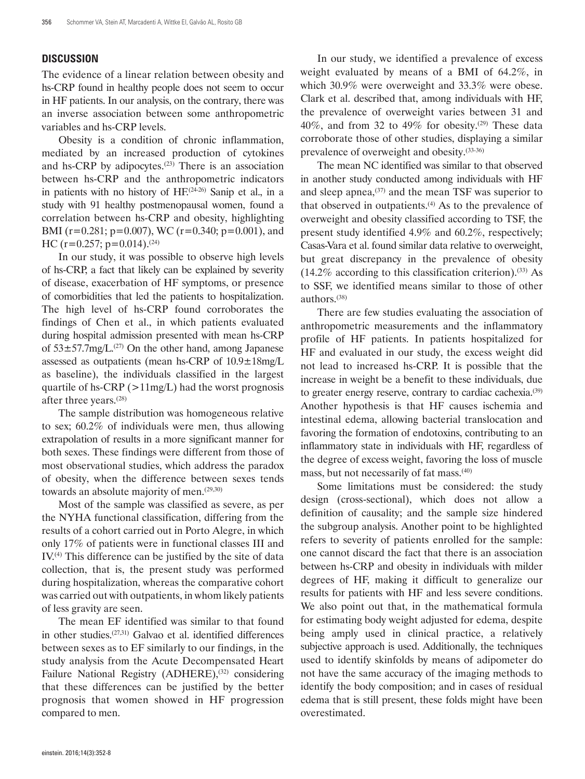## **DISCUSSION**

The evidence of a linear relation between obesity and hs-CRP found in healthy people does not seem to occur in HF patients. In our analysis, on the contrary, there was an inverse association between some anthropometric variables and hs-CRP levels.

Obesity is a condition of chronic inflammation, mediated by an increased production of cytokines and hs-CRP by adipocytes.<sup>(23)</sup> There is an association between hs-CRP and the anthropometric indicators in patients with no history of HF.<sup>(24-26)</sup> Sanip et al., in a study with 91 healthy postmenopausal women, found a correlation between hs-CRP and obesity, highlighting BMI (r=0.281; p=0.007), WC (r=0.340; p=0.001), and HC (r=0.257; p=0.014).<sup>(24)</sup>

In our study, it was possible to observe high levels of hs-CRP, a fact that likely can be explained by severity of disease, exacerbation of HF symptoms, or presence of comorbidities that led the patients to hospitalization. The high level of hs-CRP found corroborates the findings of Chen et al., in which patients evaluated during hospital admission presented with mean hs-CRP of  $53\pm57.7$ mg/L.<sup>(27)</sup> On the other hand, among Japanese assessed as outpatients (mean hs-CRP of 10.9±18mg/L as baseline), the individuals classified in the largest quartile of hs-CRP ( $>11$ mg/L) had the worst prognosis after three years.(28)

The sample distribution was homogeneous relative to sex; 60.2% of individuals were men, thus allowing extrapolation of results in a more significant manner for both sexes. These findings were different from those of most observational studies, which address the paradox of obesity, when the difference between sexes tends towards an absolute majority of men.<sup>(29,30)</sup>

Most of the sample was classified as severe, as per the NYHA functional classification, differing from the results of a cohort carried out in Porto Alegre, in which only 17% of patients were in functional classes III and IV.(4) This difference can be justified by the site of data collection, that is, the present study was performed during hospitalization, whereas the comparative cohort was carried out with outpatients, in whom likely patients of less gravity are seen.

The mean EF identified was similar to that found in other studies.(27,31) Galvao et al. identified differences between sexes as to EF similarly to our findings, in the study analysis from the Acute Decompensated Heart Failure National Registry (ADHERE),<sup>(32)</sup> considering that these differences can be justified by the better prognosis that women showed in HF progression compared to men.

In our study, we identified a prevalence of excess weight evaluated by means of a BMI of 64.2%, in which 30.9% were overweight and 33.3% were obese. Clark et al. described that, among individuals with HF, the prevalence of overweight varies between 31 and 40%, and from 32 to 49% for obesity.<sup>(29)</sup> These data corroborate those of other studies, displaying a similar prevalence of overweight and obesity.(33-36)

The mean NC identified was similar to that observed in another study conducted among individuals with HF and sleep apnea, $(37)$  and the mean TSF was superior to that observed in outpatients. $(4)$  As to the prevalence of overweight and obesity classified according to TSF, the present study identified 4.9% and 60.2%, respectively; Casas-Vara et al. found similar data relative to overweight, but great discrepancy in the prevalence of obesity  $(14.2\%$  according to this classification criterion).<sup>(33)</sup> As to SSF, we identified means similar to those of other authors.(38)

There are few studies evaluating the association of anthropometric measurements and the inflammatory profile of HF patients. In patients hospitalized for HF and evaluated in our study, the excess weight did not lead to increased hs-CRP. It is possible that the increase in weight be a benefit to these individuals, due to greater energy reserve, contrary to cardiac cachexia.<sup>(39)</sup> Another hypothesis is that HF causes ischemia and intestinal edema, allowing bacterial translocation and favoring the formation of endotoxins, contributing to an inflammatory state in individuals with HF, regardless of the degree of excess weight, favoring the loss of muscle mass, but not necessarily of fat mass.(40)

Some limitations must be considered: the study design (cross-sectional), which does not allow a definition of causality; and the sample size hindered the subgroup analysis. Another point to be highlighted refers to severity of patients enrolled for the sample: one cannot discard the fact that there is an association between hs-CRP and obesity in individuals with milder degrees of HF, making it difficult to generalize our results for patients with HF and less severe conditions. We also point out that, in the mathematical formula for estimating body weight adjusted for edema, despite being amply used in clinical practice, a relatively subjective approach is used. Additionally, the techniques used to identify skinfolds by means of adipometer do not have the same accuracy of the imaging methods to identify the body composition; and in cases of residual edema that is still present, these folds might have been overestimated.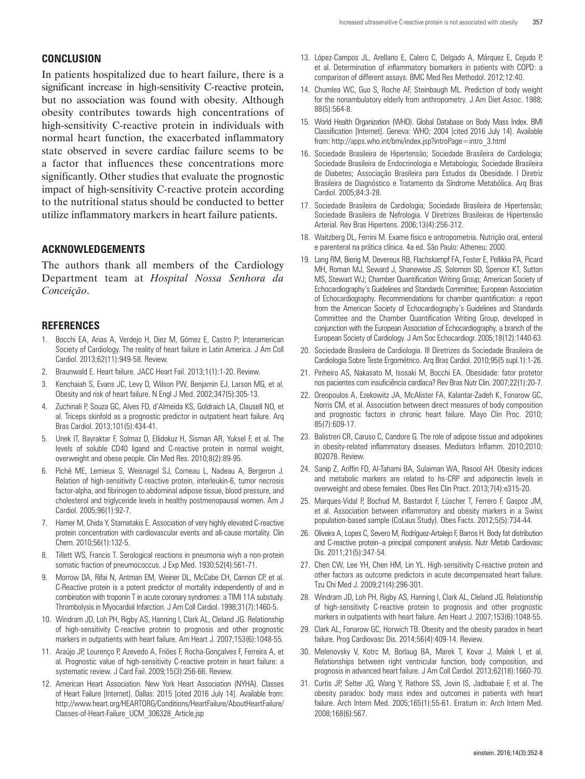## **CONCLUSION**

In patients hospitalized due to heart failure, there is a significant increase in high-sensitivity C-reactive protein, but no association was found with obesity. Although obesity contributes towards high concentrations of high-sensitivity C-reactive protein in individuals with normal heart function, the exacerbated inflammatory state observed in severe cardiac failure seems to be a factor that influences these concentrations more significantly. Other studies that evaluate the prognostic impact of high-sensitivity C-reactive protein according to the nutritional status should be conducted to better utilize inflammatory markers in heart failure patients.

## **ACKNOWLEDGEMENTS**

The authors thank all members of the Cardiology Department team at *Hospital Nossa Senhora da Conceição*.

### **REFERENCES**

- 1. Bocchi EA, Arias A, Verdejo H, Diez M, Gómez E, Castro P; Interamerican Society of Cardiology. The reality of heart failure in Latin America. J Am Coll Cardiol. 2013;62(11):949-58. Review.
- 2. Braunwald E. Heart failure. JACC Heart Fail. 2013;1(1):1-20. Review.
- 3. Kenchaiah S, Evans JC, Levy D, Wilson PW, Benjamin EJ, Larson MG, et al. Obesity and risk of heart failure. N Engl J Med. 2002;347(5):305-13.
- 4. Zuchinali P, Souza GC, Alves FD, d'Almeida KS, Goldraich LA, Clausell NO, et al. Triceps skinfold as a prognostic predictor in outpatient heart failure. Arq Bras Cardiol. 2013;101(5):434-41.
- 5. Unek IT, Bayraktar F, Solmaz D, Ellidokuz H, Sisman AR, Yuksel F, et al. The levels of soluble CD40 ligand and C-reactive protein in normal weight, overweight and obese people. Clin Med Res. 2010;8(2):89-95.
- 6. Piché ME, Lemieux S, Weisnagel SJ, Corneau L, Nadeau A, Bergeron J. Relation of high-sensitivity C-reactive protein, interleukin-6, tumor necrosis factor-alpha, and fibrinogen to abdominal adipose tissue, blood pressure, and cholesterol and triglyceride levels in healthy postmenopausal women. Am J Cardiol. 2005;96(1):92-7.
- 7. Hamer M, Chida Y, Stamatakis E. Association of very highly elevated C-reactive protein concentration with cardiovascular events and all-cause mortality. Clin Chem. 2010;56(1):132-5.
- Tillett WS, Francis T. Serological reactions in pneumonia wiyh a non-protein somatic fraction of pneumococcus. J Exp Med. 1930;52(4):561-71.
- 9. Morrow DA, Rifai N, Antman EM, Weiner DL, McCabe CH, Cannon CP, et al. C-Reactive protein is a potent predictor of mortality independently of and in combination with troponin T in acute coronary syndromes: a TIMI 11A substudy. Thrombolysis in Myocardial Infarction. J Am Coll Cardiol. 1998;31(7):1460-5.
- 10. Windram JD, Loh PH, Rigby AS, Hanning I, Clark AL, Cleland JG. Relationship of high-sensitivity C-reactive protein to prognosis and other prognostic markers in outpatients with heart failure. Am Heart J. 2007;153(6):1048-55.
- 11. Araújo JP, Lourenço P, Azevedo A, Friões F, Rocha-Gonçalves F, Ferreira A, et al. Prognostic value of high-sensitivity C-reactive protein in heart failure: a systematic review. J Card Fail. 2009;15(3):256-66. Review.
- 12. American Heart Association. New York Heart Association (NYHA). Classes of Heart Failure [Internet]. Dallas: 2015 [cited 2016 July 14]. Available from: http://www.heart.org/HEARTORG/Conditions/HeartFailure/AboutHeartFailure/ Classes-of-Heart-Failure\_UCM\_306328\_Article.jsp
- 13. López-Campos JL, Arellano E, Calero C, Delgado A, Márquez E, Cejudo P, et al. Determination of inflammatory biomarkers in patients with COPD: a comparison of different assays. BMC Med Res Methodol. 2012;12:40.
- 14. Chumlea WC, Guo S, Roche AF, Steinbaugh ML. Prediction of body weight for the nonambulatory elderly from anthropometry. J Am Diet Assoc. 1988; 88(5):564-8.
- 15. World Health Organization (WHO). Global Database on Body Mass Index. BMI Classification [Internet]. Geneva: WHO; 2004 [cited 2016 July 14]. Available from: http://apps.who.int/bmi/index.jsp?introPage=intro\_3.html
- 16. Sociedade Brasileira de Hipertensão; Sociedade Brasileira de Cardiologia; Sociedade Brasileira de Endocrinologia e Metabologia; Sociedade Brasileira de Diabetes; Associação Brasileira para Estudos da Obesidade. I Diretriz Brasileira de Diagnóstico e Tratamento da Síndrome Metabólica. Arq Bras Cardiol. 2005;84:3-28.
- 17. Sociedade Brasileira de Cardiologia; Sociedade Brasileira de Hipertensão; Sociedade Brasileira de Nefrologia. V Diretrizes Brasileiras de Hipertensão Arterial. Rev Bras Hipertens. 2006;13(4):256-312.
- 18. Waitzberg DL, Ferrini M. Exame físico e antropometria. Nutrição oral, enteral e parenteral na prática clínica. 4a ed. São Paulo: Atheneu; 2000.
- 19. Lang RM, Bierig M, Devereux RB, Flachskampf FA, Foster E, Pellikka PA, Picard MH, Roman MJ, Seward J, Shanewise JS, Solomon SD, Spencer KT, Sutton MS, Stewart WJ; Chamber Quantification Writing Group; American Society of Echocardiography's Guidelines and Standards Committee; European Association of Echocardiography. Recommendations for chamber quantification: a report from the American Society of Echocardiography's Guidelines and Standards Committee and the Chamber Quantification Writing Group, developed in conjunction with the European Association of Echocardiography, a branch of the European Society of Cardiology. J Am Soc Echocardiogr. 2005;18(12):1440-63.
- 20. Sociedade Brasileira de Cardiologia. III Diretrizes da Sociedade Brasileira de Cardiologia Sobre Teste Ergométrico. Arq Bras Cardiol. 2010;95(5 supl.1):1-26.
- 21. Pinheiro AS, Nakasato M, Isosaki M, Bocchi EA. Obesidade: fator protetor nos pacientes com insuficiência cardíaca? Rev Bras Nutr Clin. 2007;22(1):20-7.
- 22. Oreopoulos A, Ezekowitz JA, McAlister FA, Kalantar-Zadeh K, Fonarow GC, Norris CM, et al. Association between direct measures of body composition and prognostic factors in chronic heart failure. Mayo Clin Proc. 2010; 85(7):609-17.
- 23. Balistreri CR, Caruso C, Candore G. The role of adipose tissue and adipokines in obesity-related inflammatory diseases. Mediators Inflamm. 2010;2010: 802078. Review.
- 24. Sanip Z, Ariffin FD, Al-Tahami BA, Sulaiman WA, Rasool AH. Obesity indices and metabolic markers are related to hs-CRP and adiponectin levels in overweight and obese females. Obes Res Clin Pract. 2013;7(4):e315-20.
- 25. Marques-Vidal P, Bochud M, Bastardot F, Lüscher T, Ferrero F, Gaspoz JM, et al. Association between inflammatory and obesity markers in a Swiss population-based sample (CoLaus Study). Obes Facts. 2012;5(5):734-44.
- 26. Oliveira A, Lopes C, Severo M, Rodríguez-Artalejo F, Barros H. Body fat distribution and C-reactive protein--a principal component analysis. Nutr Metab Cardiovasc Dis. 2011;21(5):347-54.
- 27. Chen CW, Lee YH, Chen HM, Lin YL. High-sensitivity C-reactive protein and other factors as outcome predictors in acute decompensated heart failure. Tzu Chi Med J. 2009;21(4):296-301.
- 28. Windram JD, Loh PH, Rigby AS, Hanning I, Clark AL, Cleland JG. Relationship of high-sensitivity C-reactive protein to prognosis and other prognostic markers in outpatients with heart failure. Am Heart J. 2007;153(6):1048-55.
- 29. Clark AL, Fonarow GC, Horwich TB. Obesity and the obesity paradox in heart failure. Prog Cardiovasc Dis. 2014;56(4):409-14. Review.
- 30. Melenovsky V, Kotrc M, Borlaug BA, Marek T, Kovar J, Malek I, et al. Relationships between right ventricular function, body composition, and prognosis in advanced heart failure. J Am Coll Cardiol. 2013;62(18):1660-70.
- 31. Curtis JP, Selter JG, Wang Y, Rathore SS, Jovin IS, Jadbabaie F, et al. The obesity paradox: body mass index and outcomes in patients with heart failure. Arch Intern Med. 2005;165(1):55-61. Erratum in: Arch Intern Med. 2008;168(6):567.